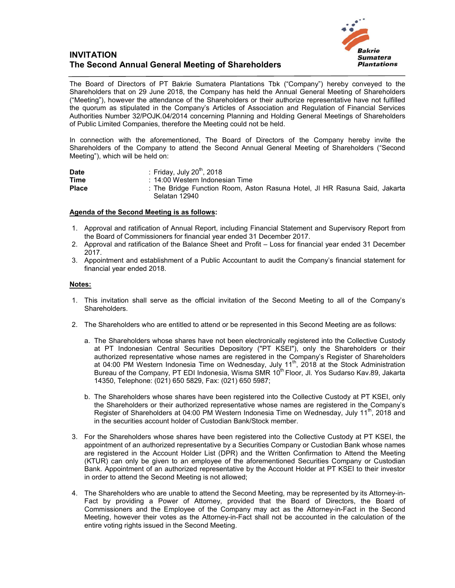## **INVITATION The Second Annual General Meeting of Shareholders**



The Board of Directors of PT Bakrie Sumatera Plantations Tbk ("Company") hereby conveyed to the Shareholders that on 29 June 2018, the Company has held the Annual General Meeting of Shareholders ("Meeting"), however the attendance of the Shareholders or their authorize representative have not fulfilled the quorum as stipulated in the Company's Articles of Association and Regulation of Financial Services Authorities Number 32/POJK.04/2014 concerning Planning and Holding General Meetings of Shareholders of Public Limited Companies, therefore the Meeting could not be held.

In connection with the aforementioned, The Board of Directors of the Company hereby invite the Shareholders of the Company to attend the Second Annual General Meeting of Shareholders ("Second Meeting"), which will be held on:

| <b>Date</b>  | : Friday, July 20 <sup>th</sup> , 2018                                     |
|--------------|----------------------------------------------------------------------------|
| <b>Time</b>  | : 14:00 Western Indonesian Time                                            |
| <b>Place</b> | : The Bridge Function Room, Aston Rasuna Hotel, JI HR Rasuna Said, Jakarta |
|              | Selatan 12940                                                              |

## **Agenda of the Second Meeting is as follows:**

- 1. Approval and ratification of Annual Report, including Financial Statement and Supervisory Report from the Board of Commissioners for financial year ended 31 December 2017.
- 2. Approval and ratification of the Balance Sheet and Profit Loss for financial year ended 31 December 2017.
- 3. Appointment and establishment of a Public Accountant to audit the Company's financial statement for financial year ended 2018.

## **Notes:**

- 1. This invitation shall serve as the official invitation of the Second Meeting to all of the Company's Shareholders.
- 2. The Shareholders who are entitled to attend or be represented in this Second Meeting are as follows:
	- a. The Shareholders whose shares have not been electronically registered into the Collective Custody at PT Indonesian Central Securities Depository ("PT KSEI"), only the Shareholders or their authorized representative whose names are registered in the Company's Register of Shareholders at 04:00 PM Western Indonesia Time on Wednesday, July 11th, 2018 at the Stock Administration Bureau of the Company, PT EDI Indonesia, Wisma SMR 10<sup>th</sup> Floor, Jl. Yos Sudarso Kav.89, Jakarta 14350, Telephone: (021) 650 5829, Fax: (021) 650 5987;
	- b. The Shareholders whose shares have been registered into the Collective Custody at PT KSEI, only the Shareholders or their authorized representative whose names are registered in the Company's Register of Shareholders at 04:00 PM Western Indonesia Time on Wednesday, July 11<sup>th</sup>, 2018 and in the securities account holder of Custodian Bank/Stock member.
- 3. For the Shareholders whose shares have been registered into the Collective Custody at PT KSEI, the appointment of an authorized representative by a Securities Company or Custodian Bank whose names are registered in the Account Holder List (DPR) and the Written Confirmation to Attend the Meeting (KTUR) can only be given to an employee of the aforementioned Securities Company or Custodian Bank. Appointment of an authorized representative by the Account Holder at PT KSEI to their investor in order to attend the Second Meeting is not allowed;
- 4. The Shareholders who are unable to attend the Second Meeting, may be represented by its Attorney-in-Fact by providing a Power of Attorney, provided that the Board of Directors, the Board of Commissioners and the Employee of the Company may act as the Attorney-in-Fact in the Second Meeting, however their votes as the Attorney-in-Fact shall not be accounted in the calculation of the entire voting rights issued in the Second Meeting.